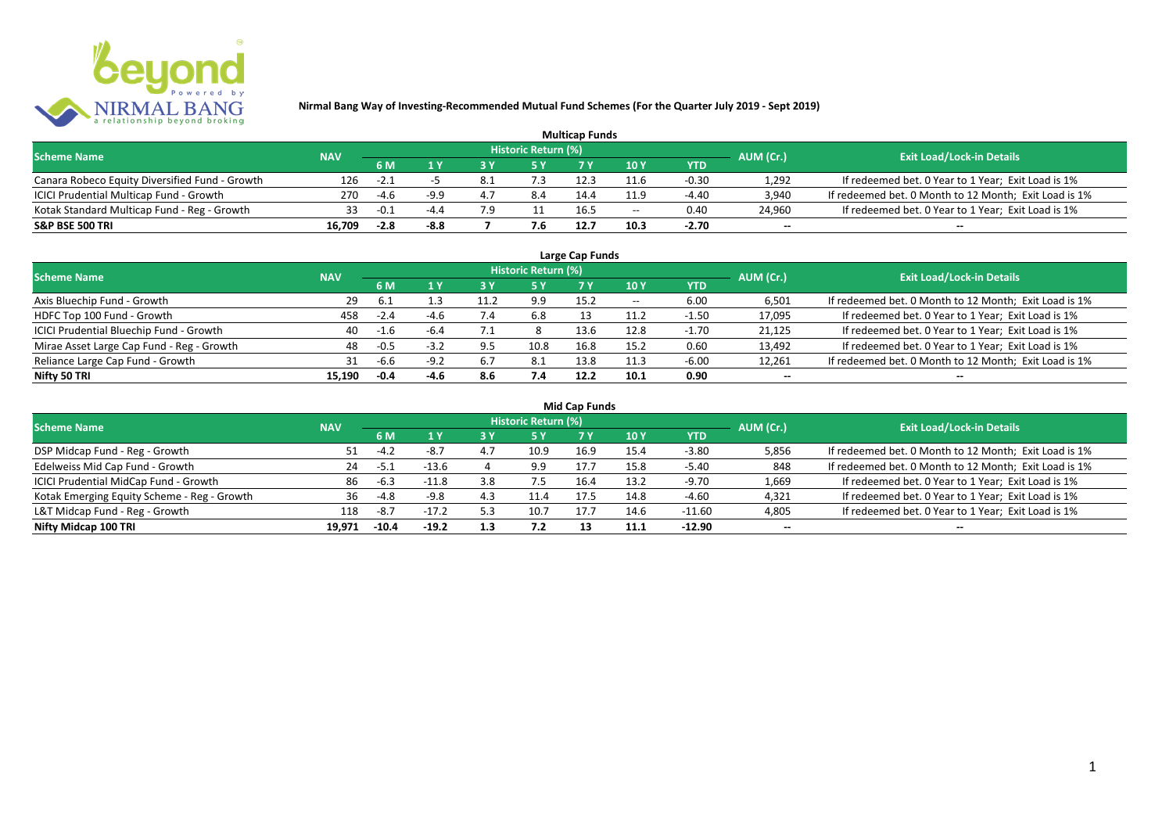

| <b>Multicap Funds</b>                          |            |        |        |     |                            |      |                          |         |                          |                                                       |  |  |  |  |
|------------------------------------------------|------------|--------|--------|-----|----------------------------|------|--------------------------|---------|--------------------------|-------------------------------------------------------|--|--|--|--|
| <b>Scheme Name</b>                             | <b>NAV</b> |        |        |     | <b>Historic Return (%)</b> |      |                          |         | AUM (Cr.)                | <b>Exit Load/Lock-in Details</b>                      |  |  |  |  |
|                                                |            | 6 M    |        |     |                            |      | 10Y                      | YTD     |                          |                                                       |  |  |  |  |
| Canara Robeco Equity Diversified Fund - Growth | 126        | $-2.1$ |        |     | ٥.                         |      | 11.6                     | $-0.30$ | 1,292                    | If redeemed bet. 0 Year to 1 Year; Exit Load is 1%    |  |  |  |  |
| ICICI Prudential Multicap Fund - Growth        | 270        | -4.6   | -9.0   | 4.7 | 8.4                        | 14.4 | 11.9                     | -4.40   | 3,940                    | If redeemed bet. 0 Month to 12 Month; Exit Load is 1% |  |  |  |  |
| Kotak Standard Multicap Fund - Reg - Growth    | 33         | $-0.1$ | $-4.4$ | 7 Q |                            | 16.5 | $\overline{\phantom{a}}$ | 0.40    | 24,960                   | If redeemed bet. 0 Year to 1 Year; Exit Load is 1%    |  |  |  |  |
| S&P BSE 500 TRI                                | 16.709     | $-2.8$ | $-8.8$ |     | 7.6                        | 12.7 |                          | $-2.70$ | $\overline{\phantom{a}}$ | $\overline{\phantom{a}}$                              |  |  |  |  |

| Large Cap Funds<br>Historic Return (%)    |            |        |        |     |      |      |       |            |                          |                                                       |  |  |  |  |
|-------------------------------------------|------------|--------|--------|-----|------|------|-------|------------|--------------------------|-------------------------------------------------------|--|--|--|--|
| <b>Scheme Name</b>                        | <b>NAV</b> |        |        |     |      |      |       |            | AUM (Cr.)                | <b>Exit Load/Lock-in Details</b>                      |  |  |  |  |
|                                           |            | 6 M    | 1 Y    | ט כ | 5 Y  |      | 10Y   | <b>YTD</b> |                          |                                                       |  |  |  |  |
| Axis Bluechip Fund - Growth               | 29         | -6.1   |        |     | 9.9  | 15.2 | $- -$ | 6.00       | 6,501                    | If redeemed bet. 0 Month to 12 Month; Exit Load is 1% |  |  |  |  |
| HDFC Top 100 Fund - Growth                | 458        | $-2.4$ | $-4.6$ |     | 6.8  |      | 11.2  | $-1.50$    | 17,095                   | If redeemed bet. 0 Year to 1 Year; Exit Load is 1%    |  |  |  |  |
| ICICI Prudential Bluechip Fund - Growth   | 40         | $-1.6$ | $-6.4$ |     |      | 13.6 | 12.8  | $-1.70$    | 21,125                   | If redeemed bet. 0 Year to 1 Year; Exit Load is 1%    |  |  |  |  |
| Mirae Asset Large Cap Fund - Reg - Growth | 48         | $-0.5$ | $-3.7$ | 9.5 | 10.8 | 16.8 | 15.2  | 0.60       | 13,492                   | If redeemed bet. 0 Year to 1 Year; Exit Load is 1%    |  |  |  |  |
| Reliance Large Cap Fund - Growth          | 31         | $-6.6$ | $-9.2$ | 6.7 | 8.1  | 13.8 | 11.3  | $-6.00$    | 12,261                   | If redeemed bet. 0 Month to 12 Month; Exit Load is 1% |  |  |  |  |
| Nifty 50 TRI                              | 15.190     | $-0.4$ | -4.6   | 8.6 | 7.4  | 12.2 | 10.1  | 0.90       | $\overline{\phantom{a}}$ | $\overline{\phantom{a}}$                              |  |  |  |  |

|                                             |            |        |         |     |                     | <b>Mid Cap Funds</b> |                 |            |           |                                                       |
|---------------------------------------------|------------|--------|---------|-----|---------------------|----------------------|-----------------|------------|-----------|-------------------------------------------------------|
| <b>Scheme Name</b>                          | <b>NAV</b> |        |         |     | Historic Return (%) |                      |                 |            | AUM (Cr.) | <b>Exit Load/Lock-in Details</b>                      |
|                                             |            | 6 M    | 1Y      | 3 Y |                     |                      | 10 <sub>Y</sub> | <b>YTD</b> |           |                                                       |
| DSP Midcap Fund - Reg - Growth              | 51         | $-4.2$ | $-8.7$  | 4.7 | 10.9                | 16.9                 | 15.4            | $-3.80$    | 5,856     | If redeemed bet. 0 Month to 12 Month; Exit Load is 1% |
| Edelweiss Mid Cap Fund - Growth             | 24         | -5.1   | $-13.6$ |     | 9.9                 | 17.7                 | 15.8            | $-5.40$    | 848       | If redeemed bet. 0 Month to 12 Month; Exit Load is 1% |
| ICICI Prudential MidCap Fund - Growth       | 86         | -6.3   | $-11.8$ | 3.8 | 7.5                 | 16.4                 | 13.2            | $-9.70$    | 1,669     | If redeemed bet. 0 Year to 1 Year; Exit Load is 1%    |
| Kotak Emerging Equity Scheme - Reg - Growth | 36         | -4.8   | $-9.8$  | 4.3 | 11.4                | 17.5                 | 14.8            | $-4.60$    | 4,321     | If redeemed bet. 0 Year to 1 Year; Exit Load is 1%    |
| L&T Midcap Fund - Reg - Growth              | 118        | -8.7   | $-17.2$ | 5.3 | 10.7                |                      | 14.6            | -11.60     | 4,805     | If redeemed bet. 0 Year to 1 Year; Exit Load is 1%    |

**Nifty Midcap 100 TRI 19,971 -10.4 -19.2 1.3 7.2 13 11.1 -12.90 -- --**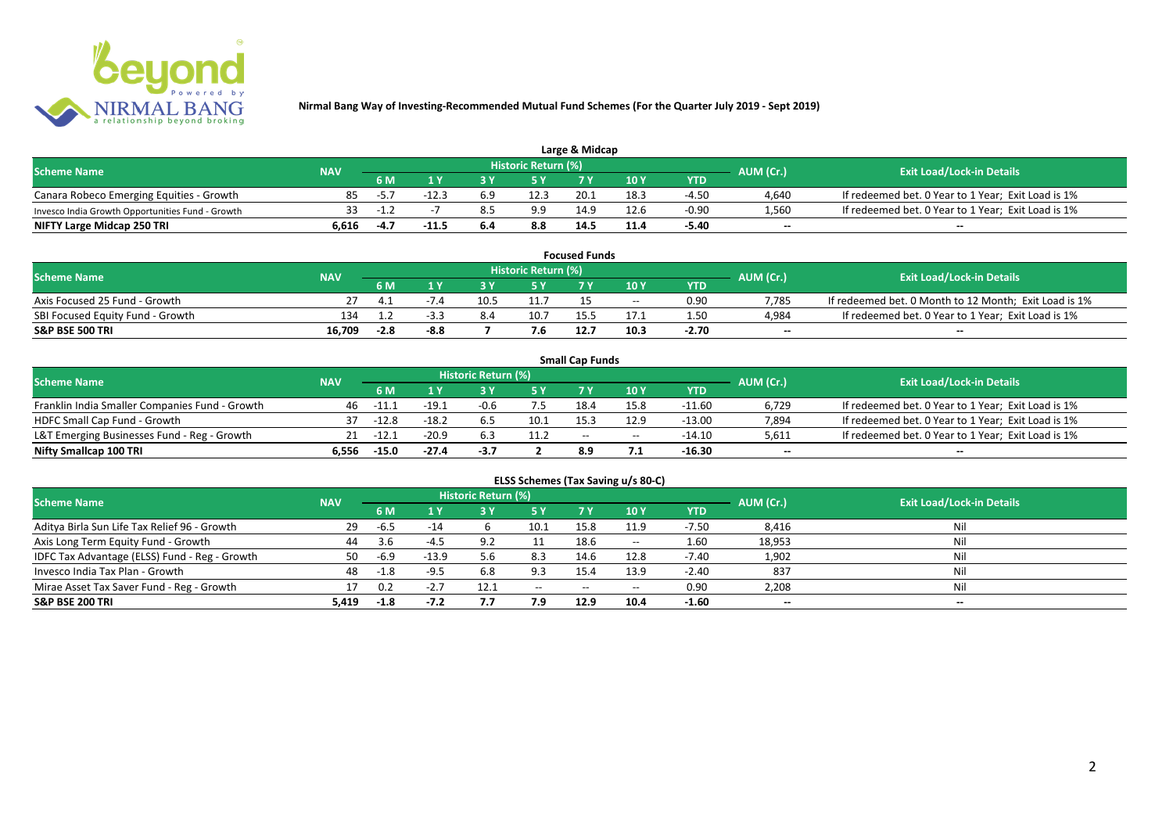

| Large & Midcap                                   |            |      |        |     |                     |      |      |         |           |                                                    |  |  |  |  |
|--------------------------------------------------|------------|------|--------|-----|---------------------|------|------|---------|-----------|----------------------------------------------------|--|--|--|--|
| <b>Scheme Name</b>                               | <b>NAV</b> |      |        |     | Historic Return (%) |      |      |         | AUM (Cr.) | <b>Exit Load/Lock-in Details</b>                   |  |  |  |  |
|                                                  |            | 6 M  |        |     |                     |      | 10Y  | YTD     |           |                                                    |  |  |  |  |
| Canara Robeco Emerging Equities - Growth         | 85         | -5., | $-12.$ | 6.9 | 12.3                | 20.1 | 18.3 | $-4.50$ | 4,640     | If redeemed bet. 0 Year to 1 Year; Exit Load is 1% |  |  |  |  |
| Invesco India Growth Opportunities Fund - Growth |            | -1.4 |        |     | 9.9                 | 14.9 | 12.6 | $-0.90$ | 1,560     | If redeemed bet. 0 Year to 1 Year; Exit Load is 1% |  |  |  |  |
| NIFTY Large Midcap 250 TRI                       | 6.616      | -4.7 | -11.5  | 6.4 | 8.8                 | 14.  |      | -5.40   | $-$       | $- -$                                              |  |  |  |  |

| <b>Focused Funds</b>             |            |        |        |      |                     |      |       |            |                          |                                                       |  |  |  |
|----------------------------------|------------|--------|--------|------|---------------------|------|-------|------------|--------------------------|-------------------------------------------------------|--|--|--|
| <b>Scheme Name</b>               | <b>NAV</b> |        |        |      | Historic Return (%) |      |       |            | AUM (Cr.)                | <b>Exit Load/Lock-in Details</b>                      |  |  |  |
|                                  |            | 6 M    |        |      | <b>EV</b>           |      | 10 Y  | <b>YTD</b> |                          |                                                       |  |  |  |
| Axis Focused 25 Fund - Growth    |            |        |        | 10.5 | 11.7                |      | $- -$ | 0.90       | 7.785                    | If redeemed bet. 0 Month to 12 Month; Exit Load is 1% |  |  |  |
| SBI Focused Equity Fund - Growth | 134        |        |        |      | 10.7                |      |       | 1.50       | 4,984                    | If redeemed bet. 0 Year to 1 Year; Exit Load is 1%    |  |  |  |
| <b>S&amp;P BSE 500 TRI</b>       | 16.709     | $-2.8$ | $-8.8$ |      |                     | 12.7 | 10.3  | $-2.70$    | $\overline{\phantom{a}}$ | $- -$                                                 |  |  |  |

|                                                |            |             |         |                     |      | <b>Small Cap Funds</b> |                                       |          |                          |                                                    |
|------------------------------------------------|------------|-------------|---------|---------------------|------|------------------------|---------------------------------------|----------|--------------------------|----------------------------------------------------|
| <b>Scheme Name</b>                             | <b>NAV</b> |             |         | Historic Return (%) |      |                        |                                       |          | AUM (Cr.)                | <b>Exit Load/Lock-in Details</b>                   |
|                                                |            | 6 M         |         |                     |      |                        | 10 Y                                  | YTD      |                          |                                                    |
| Franklin India Smaller Companies Fund - Growth | 46         | $-11.1$     | $-19.2$ | $-0.6$              |      | 18.4                   | 15.8                                  | $-11.60$ | 6,729                    | If redeemed bet. 0 Year to 1 Year; Exit Load is 1% |
| HDFC Small Cap Fund - Growth                   | 37         | $-12.8$     | $-18.7$ | 6.5                 | 10.1 | 15.3                   | 12.9                                  | $-13.00$ | 7,894                    | If redeemed bet. 0 Year to 1 Year; Exit Load is 1% |
| L&T Emerging Businesses Fund - Reg - Growth    |            | $21 - 12.1$ | $-20.9$ |                     | 11.2 | $-$                    | $\hspace{0.05cm}$ – $\hspace{0.05cm}$ | $-14.10$ | 5,611                    | If redeemed bet. 0 Year to 1 Year; Exit Load is 1% |
| Nifty Smallcap 100 TRI                         | 6.556      | $-15.0$     | $-27.4$ | -3.7                |      | 8.9                    |                                       | -16.30   | $\overline{\phantom{a}}$ | $-$                                                |

| ELSS Schemes (Tax Saving u/s 80-C)            |            |        |         |                     |           |            |                                       |            |                          |                                  |  |  |  |
|-----------------------------------------------|------------|--------|---------|---------------------|-----------|------------|---------------------------------------|------------|--------------------------|----------------------------------|--|--|--|
| <b>Scheme Name</b>                            | <b>NAV</b> |        |         | Historic Return (%) |           |            |                                       |            | AUM (Cr.)                | <b>Exit Load/Lock-in Details</b> |  |  |  |
|                                               |            | 6 M    | 1 Y     | 3 Y                 | <b>5Y</b> | <b>7 Y</b> | 10 Y                                  | <b>YTD</b> |                          |                                  |  |  |  |
| Aditya Birla Sun Life Tax Relief 96 - Growth  | 29         | $-6.5$ | $-14$   |                     | 10.1      | 15.8       | 11.9                                  | $-7.50$    | 8,416                    | Nil                              |  |  |  |
| Axis Long Term Equity Fund - Growth           | 44         | 3.6    | $-4.5$  | 9.2                 |           | 18.6       | $- -$                                 | 1.60       | 18,953                   | Nil                              |  |  |  |
| IDFC Tax Advantage (ELSS) Fund - Reg - Growth | 50         | $-6.9$ | $-13.9$ | 5.6                 | 8.3       | 14.6       | 12.8                                  | $-7.40$    | 1,902                    | Nil                              |  |  |  |
| Invesco India Tax Plan - Growth               | 48         | $-1.8$ | $-9.5$  | 6.8                 | 9.3       | 15.4       | 13.9                                  | $-2.40$    | 837                      | Nil                              |  |  |  |
| Mirae Asset Tax Saver Fund - Reg - Growth     |            | 0.2    | $-2.7$  | 12.1                | $- -$     | --         | $\hspace{0.05cm}$ – $\hspace{0.05cm}$ | 0.90       | 2,208                    | Nil                              |  |  |  |
| S&P BSE 200 TRI                               | 5.419      | -1.8   | $-7.2$  | 7.7                 | 7.9       | 12.9       | 10.4                                  | $-1.60$    | $\overline{\phantom{a}}$ | $\overline{\phantom{a}}$         |  |  |  |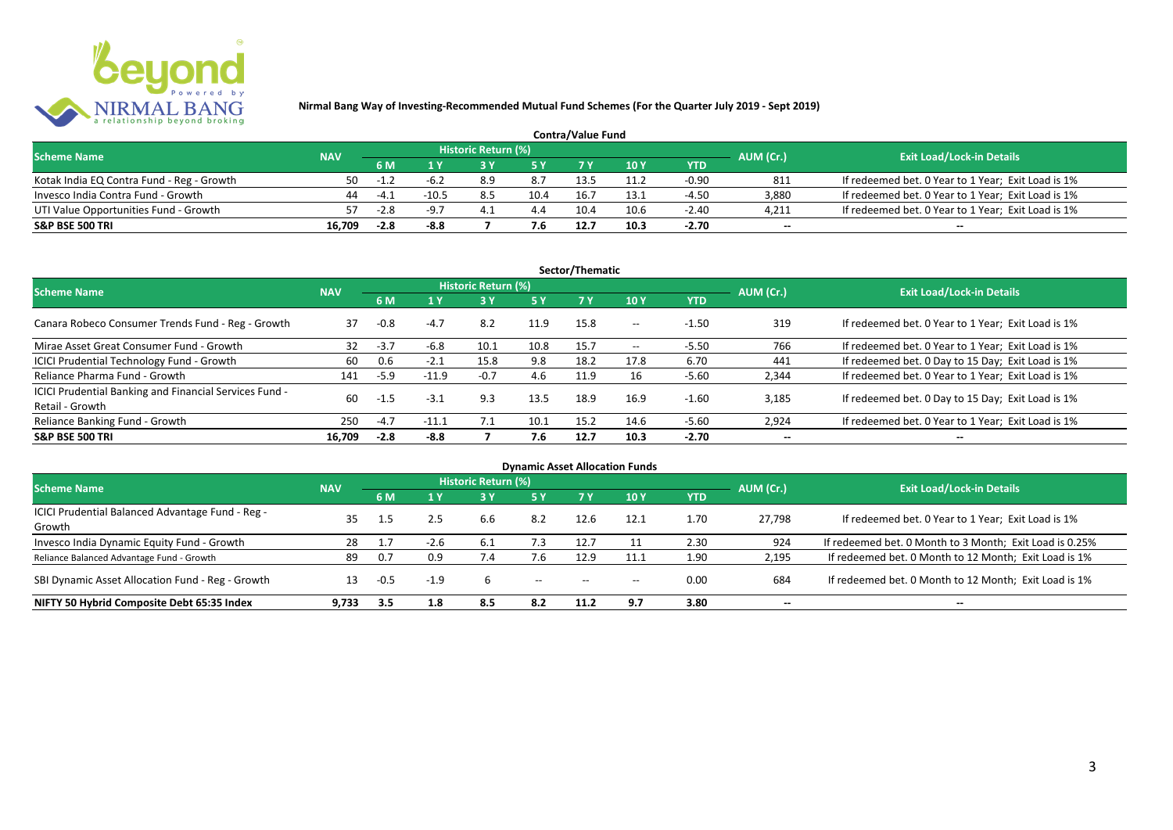

| <b>Contra/Value Fund</b>                  |            |                 |                                  |  |      |      |      |         |        |                                                    |  |  |  |  |
|-------------------------------------------|------------|-----------------|----------------------------------|--|------|------|------|---------|--------|----------------------------------------------------|--|--|--|--|
| <b>Scheme Name</b>                        | <b>NAV</b> | AUM (Cr.)       | <b>Exit Load/Lock-in Details</b> |  |      |      |      |         |        |                                                    |  |  |  |  |
|                                           |            | 6 M             |                                  |  |      |      | 10 Y | YTD     |        |                                                    |  |  |  |  |
| Kotak India EQ Contra Fund - Reg - Growth | 50         | $-1\frac{1}{2}$ | -6.∠                             |  | 8.7  | 13.5 |      | $-0.90$ | 811    | If redeemed bet. 0 Year to 1 Year; Exit Load is 1% |  |  |  |  |
| Invesco India Contra Fund - Growth        | 44         | -4 1            | $-10.5$                          |  | 10.4 | 16.7 | L3.: | -4.50   | 3.880  | If redeemed bet. 0 Year to 1 Year; Exit Load is 1% |  |  |  |  |
| UTI Value Opportunities Fund - Growth     |            | $-2.8$          | $-9-$                            |  | 4.4  | 10.4 | 10.6 | $-2.40$ | 4,211  | If redeemed bet. 0 Year to 1 Year; Exit Load is 1% |  |  |  |  |
| <b>S&amp;P BSE 500 TRI</b>                | 16.709     | $-2.8$          | $-8.8$                           |  | 7.6  | 12.7 | 10.3 | $-2.70$ | $\sim$ | $\qquad \qquad$                                    |  |  |  |  |

|                                                                           |            |        |         |                     |           | Sector/Thematic |       |            |                          |                                                    |
|---------------------------------------------------------------------------|------------|--------|---------|---------------------|-----------|-----------------|-------|------------|--------------------------|----------------------------------------------------|
| <b>Scheme Name</b>                                                        | <b>NAV</b> |        |         | Historic Return (%) |           |                 |       |            | AUM (Cr.)                | <b>Exit Load/Lock-in Details</b>                   |
|                                                                           |            | 6 M    | 1 Y     | 3 ١                 | <b>5Y</b> | <b>7Y</b>       | 10Y   | <b>YTD</b> |                          |                                                    |
| Canara Robeco Consumer Trends Fund - Reg - Growth                         | 37         | $-0.8$ | $-4.7$  | 8.2                 | 11.9      | 15.8            | $- -$ | $-1.50$    | 319                      | If redeemed bet. 0 Year to 1 Year; Exit Load is 1% |
| Mirae Asset Great Consumer Fund - Growth                                  | 32         | $-3.7$ | -6.8    | 10.1                | 10.8      | 15.7            | $- -$ | $-5.50$    | 766                      | If redeemed bet. 0 Year to 1 Year; Exit Load is 1% |
| ICICI Prudential Technology Fund - Growth                                 | 60         | 0.6    | $-2.1$  | 15.8                | 9.8       | 18.2            | 17.8  | 6.70       | 441                      | If redeemed bet. 0 Day to 15 Day; Exit Load is 1%  |
| Reliance Pharma Fund - Growth                                             | 141        | $-5.9$ | $-11.9$ | $-0.7$              | 4.6       | 11.9            | 16    | $-5.60$    | 2,344                    | If redeemed bet. 0 Year to 1 Year; Exit Load is 1% |
| ICICI Prudential Banking and Financial Services Fund -<br>Retail - Growth | 60         | $-1.5$ | $-3.1$  | 9.3                 | 13.5      | 18.9            | 16.9  | $-1.60$    | 3.185                    | If redeemed bet. 0 Day to 15 Day; Exit Load is 1%  |
| Reliance Banking Fund - Growth                                            | 250        | $-4.7$ | $-11.1$ | 7.1                 | 10.1      | 15.2            | 14.6  | $-5.60$    | 2,924                    | If redeemed bet. 0 Year to 1 Year; Exit Load is 1% |
| <b>S&amp;P BSE 500 TRI</b>                                                | 16.709     | $-2.8$ | $-8.8$  |                     | 7.6       | 12.7            | 10.3  | $-2.70$    | $\overline{\phantom{a}}$ | $- -$                                              |

| <b>Dynamic Asset Allocation Funds</b>                      |            |        |        |                            |                          |       |       |            |                          |                                                         |  |  |  |  |
|------------------------------------------------------------|------------|--------|--------|----------------------------|--------------------------|-------|-------|------------|--------------------------|---------------------------------------------------------|--|--|--|--|
| <b>Scheme Name</b>                                         | <b>NAV</b> |        |        | <b>Historic Return (%)</b> |                          |       |       |            | AUM (Cr.)                | <b>Exit Load/Lock-in Details</b>                        |  |  |  |  |
|                                                            |            | 6 M    | 1 Y    | 3 Y                        | 5 Y                      |       | 10 Y  | <b>YTD</b> |                          |                                                         |  |  |  |  |
| ICICI Prudential Balanced Advantage Fund - Reg -<br>Growth | 35         |        | 2.5    | 6.6                        | 8.2                      | 12.6  | 12.1  | 1.70       | 27.798                   | If redeemed bet. 0 Year to 1 Year; Exit Load is 1%      |  |  |  |  |
| Invesco India Dynamic Equity Fund - Growth                 | 28         |        | $-2.6$ |                            | 7.5                      | 12.7  |       | 2.30       | 924                      | If redeemed bet. 0 Month to 3 Month; Exit Load is 0.25% |  |  |  |  |
| Reliance Balanced Advantage Fund - Growth                  | 89         | 0.7    | 0.9    | $\sqrt{.4}$                |                          | 12.9  |       | 1.90       | 2,195                    | If redeemed bet. 0 Month to 12 Month; Exit Load is 1%   |  |  |  |  |
| SBI Dynamic Asset Allocation Fund - Reg - Growth           |            | $-0.5$ | $-1.9$ |                            | $\hspace{0.05cm} \ldots$ | $- -$ | $- -$ | 0.00       | 684                      | If redeemed bet. 0 Month to 12 Month; Exit Load is 1%   |  |  |  |  |
| NIFTY 50 Hybrid Composite Debt 65:35 Index                 | 9.733      | 3.5    | 1.8    | 8.5                        | 8.2                      | 11.2  | 9.7   | 3.80       | $\overline{\phantom{a}}$ | $- -$                                                   |  |  |  |  |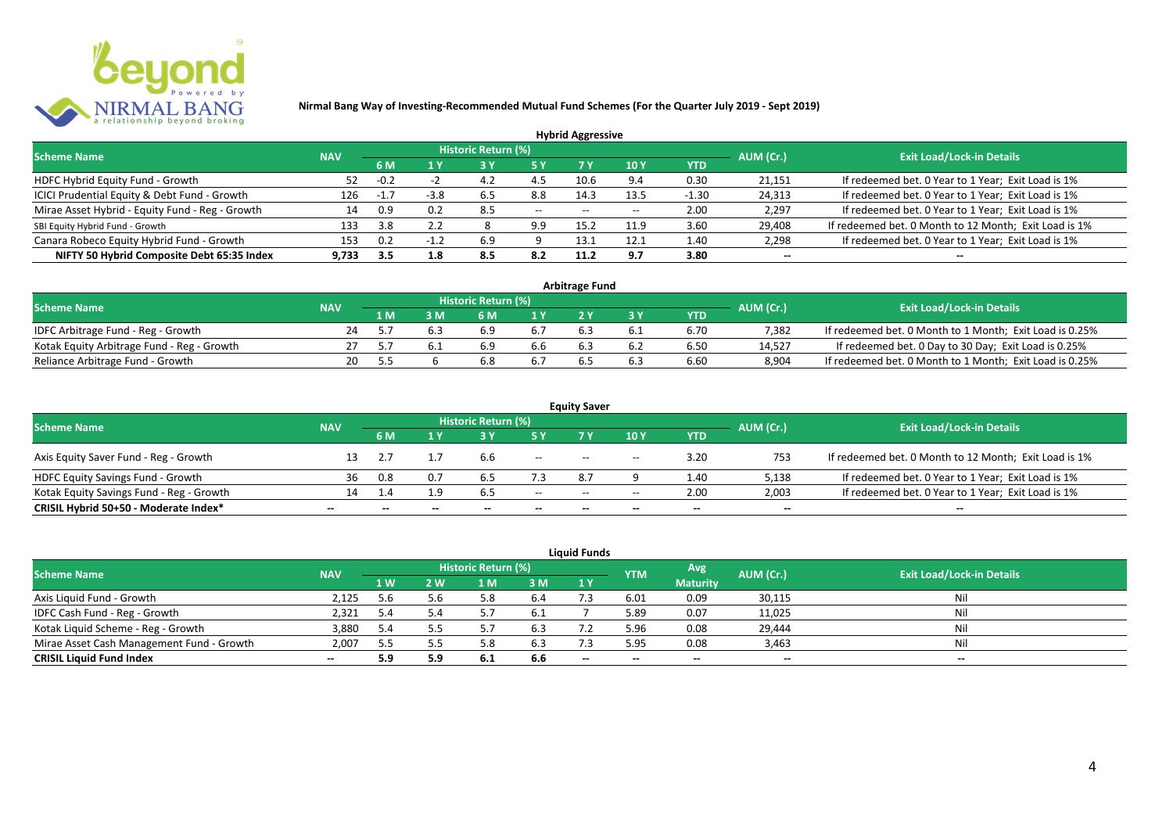

|                                                 |            |        |        |                            |       | <b>Hybrid Aggressive</b> |                          |            |                          |                                                       |
|-------------------------------------------------|------------|--------|--------|----------------------------|-------|--------------------------|--------------------------|------------|--------------------------|-------------------------------------------------------|
| <b>Scheme Name</b>                              | <b>NAV</b> |        |        | <b>Historic Return (%)</b> |       |                          |                          |            | AUM (Cr.)                | <b>Exit Load/Lock-in Details</b>                      |
|                                                 |            | 6 M    | 1 Y    |                            | 5 Y   | 7 Y                      | 10Y                      | <b>YTD</b> |                          |                                                       |
| HDFC Hybrid Equity Fund - Growth                | 52         | $-0.2$ |        |                            | 4.5   | 10.6                     | 9.4                      | 0.30       | 21,151                   | If redeemed bet. 0 Year to 1 Year; Exit Load is 1%    |
| ICICI Prudential Equity & Debt Fund - Growth    | 126        |        | $-3.8$ | 6.5                        | 8.8   | 14.3                     | 13.5                     | $-1.30$    | 24,313                   | If redeemed bet. 0 Year to 1 Year; Exit Load is 1%    |
| Mirae Asset Hybrid - Equity Fund - Reg - Growth | 14         | 0.9    | 0.2    | 8.5                        | $- -$ | $- -$                    | $\overline{\phantom{a}}$ | 2.00       | 2,297                    | If redeemed bet. 0 Year to 1 Year; Exit Load is 1%    |
| SBI Equity Hybrid Fund - Growth                 | 133        | 3.8    | 2.2    |                            | 9.9   | 15.2                     | 11.9                     | 3.60       | 29,408                   | If redeemed bet. 0 Month to 12 Month; Exit Load is 1% |
| Canara Robeco Equity Hybrid Fund - Growth       | 153        | 0.2    |        | 6.9                        |       | 13.1                     | 12.1                     | 1.40       | 2,298                    | If redeemed bet. 0 Year to 1 Year; Exit Load is 1%    |
| NIFTY 50 Hybrid Composite Debt 65:35 Index      | 9.733      | 3.5    | 1.8    | 8.5                        | 8.2   | 11.2                     | 9.7                      | 3.80       | $\overline{\phantom{a}}$ | $\overline{\phantom{a}}$                              |

|                                            |            |     |     |                     |     | <b>Arbitrage Fund</b> |     |            |           |                                                         |
|--------------------------------------------|------------|-----|-----|---------------------|-----|-----------------------|-----|------------|-----------|---------------------------------------------------------|
| <b>Scheme Name</b>                         | <b>NAV</b> |     |     | Historic Return (%) |     |                       |     |            | AUM (Cr.) | <b>Exit Load/Lock-in Details</b>                        |
|                                            |            | 1 M |     | 6 M                 |     |                       |     | <b>YTD</b> |           |                                                         |
| IDFC Arbitrage Fund - Reg - Growth         | 24         |     | 6.3 | 6.9                 |     |                       |     | 6.70       | 7.382     | If redeemed bet. 0 Month to 1 Month; Exit Load is 0.25% |
| Kotak Equity Arbitrage Fund - Reg - Growth |            |     |     | 6.9                 | b.b | 6.3                   | 6.2 | 6.50       | 14.527    | If redeemed bet. 0 Day to 30 Day; Exit Load is 0.25%    |
| Reliance Arbitrage Fund - Growth           | 20         |     |     | 6.8                 |     |                       | 6.3 | 6.60       | 8.904     | If redeemed bet. 0 Month to 1 Month; Exit Load is 0.25% |

|                                          |            |     |              |                     |        | <b>Equity Saver</b>                   |                          |        |           |                                                       |
|------------------------------------------|------------|-----|--------------|---------------------|--------|---------------------------------------|--------------------------|--------|-----------|-------------------------------------------------------|
| <b>Scheme Name</b>                       | <b>NAV</b> |     |              | Historic Return (%) |        |                                       |                          |        | AUM (Cr.) | <b>Exit Load/Lock-in Details</b>                      |
|                                          |            | 6 M |              |                     |        |                                       | 10 Y                     | YTD    |           |                                                       |
| Axis Equity Saver Fund - Reg - Growth    |            |     |              | b.b                 | $- -$  | $\hspace{0.05cm}$ – $\hspace{0.05cm}$ | $\overline{\phantom{a}}$ | 3.20   | 753       | If redeemed bet. 0 Month to 12 Month; Exit Load is 1% |
| HDFC Equity Savings Fund - Growth        | 36         | 0.8 | 0.7          |                     |        | 8.7                                   |                          | 1.40   | 5,138     | If redeemed bet. 0 Year to 1 Year; Exit Load is 1%    |
| Kotak Equity Savings Fund - Reg - Growth |            |     | 1.9          | 6.5                 | $- -$  | $\hspace{0.05cm}$ – $\hspace{0.05cm}$ | $\overline{\phantom{a}}$ | 2.00   | 2,003     | If redeemed bet. 0 Year to 1 Year; Exit Load is 1%    |
| CRISIL Hybrid 50+50 - Moderate Index*    | $- -$      | $-$ | $\mathbf{m}$ | $- -$               | $\sim$ | $- -$                                 | $- -$                    | $\sim$ | $\sim$    | $\overline{\phantom{a}}$                              |

|                                           |            |      |     |                     |     | <b>Liquid Funds</b> |            |                 |           |                                  |
|-------------------------------------------|------------|------|-----|---------------------|-----|---------------------|------------|-----------------|-----------|----------------------------------|
| <b>Scheme Name</b>                        | <b>NAV</b> |      |     | Historic Return (%) |     |                     | <b>YTM</b> | Avg             | AUM (Cr.) | <b>Exit Load/Lock-in Details</b> |
|                                           |            | 1 W. | 2 W | 1 M                 | 3 M | 1Y                  |            | <b>Maturity</b> |           |                                  |
| Axis Liquid Fund - Growth                 | 2,125      | 5.6  |     |                     | 6.4 |                     | 6.01       | 0.09            | 30,115    | Nil                              |
| IDFC Cash Fund - Reg - Growth             | 2,321      | 5.4  |     |                     | 6.1 |                     | 5.89       | 0.07            | 11,025    | Nil                              |
| Kotak Liquid Scheme - Reg - Growth        | 3,880      | 5.4  |     |                     | 6.3 |                     | 5.96       | 0.08            | 29,444    | Nil                              |
| Mirae Asset Cash Management Fund - Growth | 2,007      | 5.5  |     | 5.8                 | 6.3 |                     | 5.95       | 0.08            | 3,463     | Nil                              |
| <b>CRISIL Liquid Fund Index</b>           | $\sim$     | 5.9  | 5.9 | 6.1                 | 6.6 | $- -$               | $- -$      | $- -$           | --        | $- -$                            |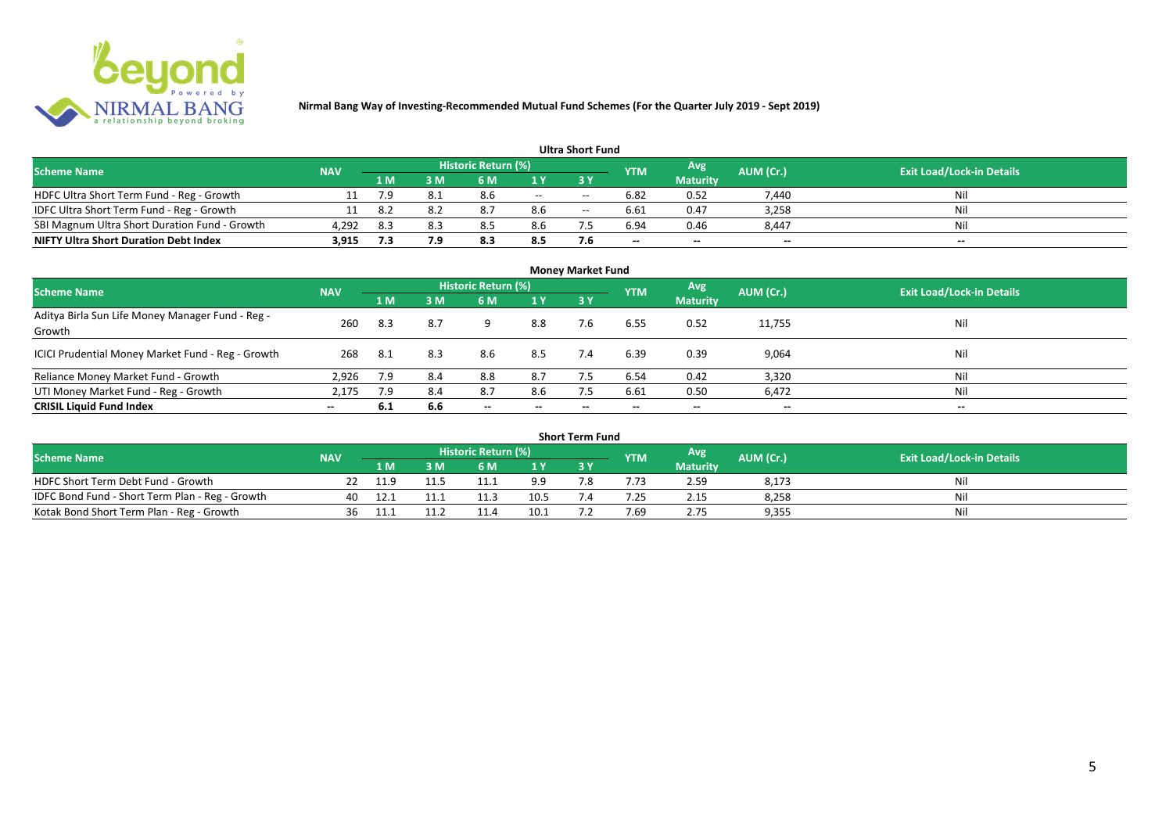

|                                               |            |        |     |                            |     | <b>Ultra Short Fund</b> |                          |                          |           |                                  |
|-----------------------------------------------|------------|--------|-----|----------------------------|-----|-------------------------|--------------------------|--------------------------|-----------|----------------------------------|
| <b>Scheme Name</b>                            | <b>NAV</b> |        |     | <b>Historic Return (%)</b> |     |                         | <b>YTM</b>               | Avg                      | AUM (Cr.) | <b>Exit Load/Lock-in Details</b> |
|                                               |            | '1 M . | 3 M | 6 M                        |     |                         |                          | <b>Maturity</b>          |           |                                  |
| HDFC Ultra Short Term Fund - Reg - Growth     |            | 7.9    | 8.1 | 8.6                        | $-$ | $- -$                   | 6.82                     | 0.52                     | 7.440     | Nil                              |
| IDFC Ultra Short Term Fund - Reg - Growth     |            | -8.2   | 8.2 | 8.7                        | 8.6 | $- -$                   | 6.61                     | 0.47                     | 3,258     | Nil                              |
| SBI Magnum Ultra Short Duration Fund - Growth | 4,292      | 8.3    | 8.3 |                            | 8.6 |                         | 6.94                     | 0.46                     | 8,447     | Nil                              |
| <b>NIFTY Ultra Short Duration Debt Index</b>  | 3,915      | 7.3    |     | 8.3                        | 8.5 | 7.6                     | $\overline{\phantom{a}}$ | $\overline{\phantom{a}}$ | $\sim$    | $- -$                            |

| <b>Money Market Fund</b>                                   |            |      |     |                            |                          |     |            |                 |                          |                                  |  |  |
|------------------------------------------------------------|------------|------|-----|----------------------------|--------------------------|-----|------------|-----------------|--------------------------|----------------------------------|--|--|
| <b>Scheme Name</b>                                         | <b>NAV</b> |      |     | <b>Historic Return (%)</b> |                          |     | <b>YTM</b> | Avg             | AUM (Cr.)                | <b>Exit Load/Lock-in Details</b> |  |  |
|                                                            |            | 1 M  | 3M  | 6 M                        | 1Y                       | 3Y  |            | <b>Maturity</b> |                          |                                  |  |  |
| Aditya Birla Sun Life Money Manager Fund - Reg -<br>Growth | 260        | 8.3  | 8.7 |                            | 8.8                      | 7.6 | 6.55       | 0.52            | 11,755                   | Nil                              |  |  |
| ICICI Prudential Money Market Fund - Reg - Growth          | 268        | -8.1 | 8.3 | 8.6                        | 8.5                      | 7.4 | 6.39       | 0.39            | 9,064                    | Nil                              |  |  |
| Reliance Money Market Fund - Growth                        | 2,926      | 7.9  | 8.4 | 8.8                        | 8.7                      |     | 6.54       | 0.42            | 3,320                    | Nil                              |  |  |
| UTI Money Market Fund - Reg - Growth                       | 2,175      | 7.9  | 8.4 | 8.7                        | 8.6                      | 7.5 | 6.61       | 0.50            | 6,472                    | Nil                              |  |  |
| <b>CRISIL Liquid Fund Index</b>                            | $-$        | 6.1  | 6.6 | $\overline{\phantom{a}}$   | $\overline{\phantom{a}}$ | --  | $- -$      | $\sim$          | $\overline{\phantom{a}}$ | $\overline{\phantom{a}}$         |  |  |

| Short Term Fund                                 |            |      |      |                     |      |     |            |                 |           |                                  |  |  |
|-------------------------------------------------|------------|------|------|---------------------|------|-----|------------|-----------------|-----------|----------------------------------|--|--|
| <b>Scheme Name</b>                              | <b>NAV</b> |      |      | Historic Return (%) |      |     | <b>YTM</b> | <b>Avg</b>      | AUM (Cr.) | <b>Exit Load/Lock-in Details</b> |  |  |
|                                                 |            | 1 M  | RМ   | 6 M                 | 1 V  |     |            | <b>Maturity</b> |           |                                  |  |  |
| HDFC Short Term Debt Fund - Growth              |            | 11.9 | 11.5 |                     | 9.9  | ה − |            | 2.59            | 8,173     | Nil                              |  |  |
| IDFC Bond Fund - Short Term Plan - Reg - Growth | 40         |      |      |                     | 10.5 |     | .25        | 2.15            | 8,258     | Nil                              |  |  |
| Kotak Bond Short Term Plan - Reg - Growth       | 36         |      |      |                     | 10.1 |     | 7.69       | 2.75            | 9,355     | Nil                              |  |  |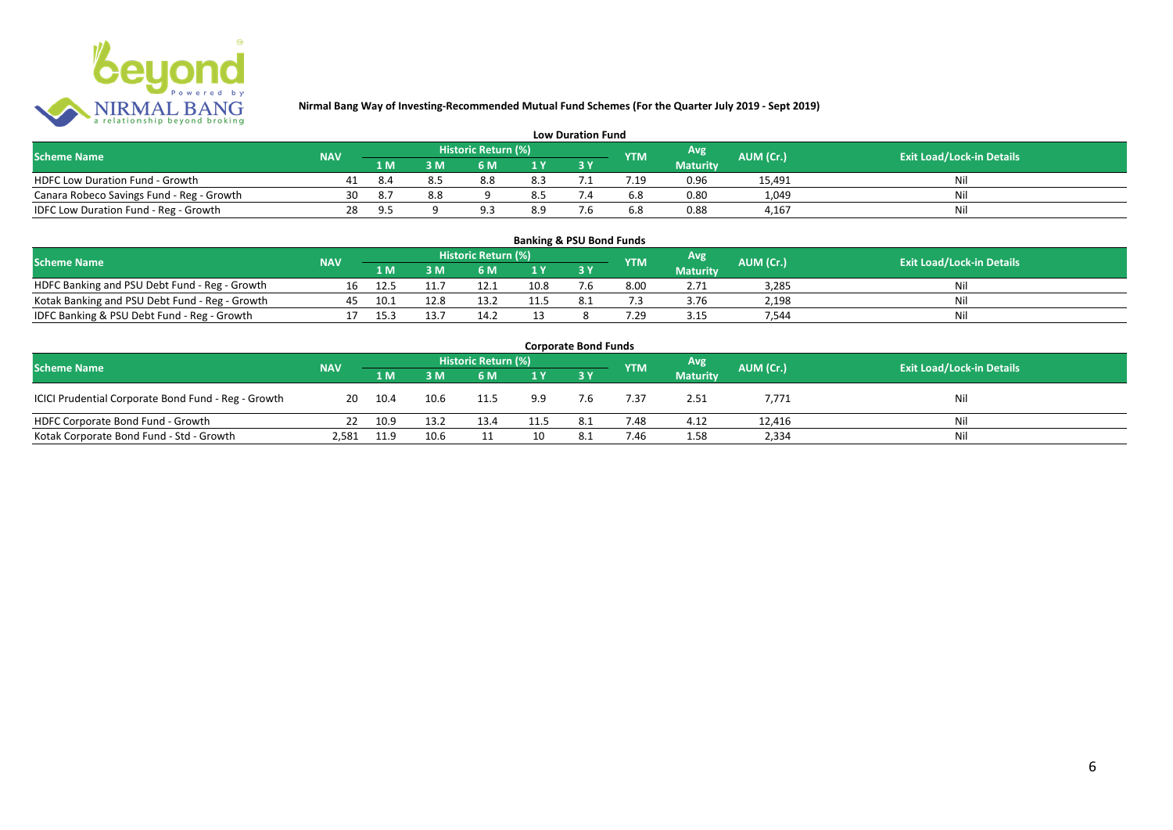

| <b>Low Duration Fund</b>                  |            |      |     |                     |     |  |            |                 |           |                                  |  |  |
|-------------------------------------------|------------|------|-----|---------------------|-----|--|------------|-----------------|-----------|----------------------------------|--|--|
| <b>Scheme Name</b>                        | <b>NAV</b> |      |     | Historic Return (%) |     |  | <b>YTM</b> | Avg             | AUM (Cr.) | <b>Exit Load/Lock-in Details</b> |  |  |
|                                           |            | 1 M  |     | 6 M.                |     |  |            | <b>Maturity</b> |           |                                  |  |  |
| <b>HDFC Low Duration Fund - Growth</b>    |            | -8.4 |     | 8.8                 | 8.3 |  | .19        | 0.96            | 15,491    | Nli                              |  |  |
| Canara Robeco Savings Fund - Reg - Growth | 30         | 8.7  | 8.8 |                     | 8.5 |  | 6.8        | 0.80            | 1,049     | Ni                               |  |  |
| IDFC Low Duration Fund - Reg - Growth     | 28         |      |     |                     | 8.9 |  | 6.8        | 0.88            | 4.167     | -Ni                              |  |  |

#### **1 M 3 M 6 M 1 Y 3 Y** NOFC Banking and PSU Debt Fund - Reg - Growth 16 12.5 11.7 12.1 10.8 7.6 8.00 2.71 3,285 Nil<br>
Kotak Banking and PSU Debt Fund - Reg - Growth 45 10.1 12.8 13.2 11.5 8.1 7.3 3.76 2,198 Nil Notak Banking and PSU Debt Fund - Reg - Growth <br>
17 15.3 13.7 14.2 13 8 7.29 3.15 7,544 116 Nil 2016 2,544 Nil 2016 2,544 Nil 2016 2,544 Nil 2016 2,544 Nil 20<br>
17 15.3 13.7 14.2 13 8 7.29 3.15 7,544 Nil 2016 2,544 Nil 2016 IDFC Banking & PSU Debt Fund - Reg - Growth 17 15.3 13.7 14.2 13 8 7.29 3.15 7,544 Nil **Banking & PSU Bond Funds Scheme Name NAV REGISTER AUM (Cr.) AUM (Cr.)** Exit Load/Lock-in Details **Historic Return (%) Maturity**

| <b>Corporate Bond Funds</b>                         |            |      |      |                     |      |     |            |                 |           |                                  |  |  |
|-----------------------------------------------------|------------|------|------|---------------------|------|-----|------------|-----------------|-----------|----------------------------------|--|--|
| <b>Scheme Name</b>                                  | <b>NAV</b> |      |      | Historic Return (%) |      |     | <b>YTM</b> | <b>Avg</b>      | AUM (Cr.) | <b>Exit Load/Lock-in Details</b> |  |  |
|                                                     |            | 1 M  | 3 M  | 6 M                 | 1Y   |     |            | <b>Maturity</b> |           |                                  |  |  |
| ICICI Prudential Corporate Bond Fund - Reg - Growth | 20         | 10.4 | 10.6 | 11.5                | 9.9  | 7.6 | 7.37       | 2.51            | 7,771     | Nil                              |  |  |
| HDFC Corporate Bond Fund - Growth                   | 22         | 10.9 | 13.2 | 13.4                | 11.5 | 8.1 | 7.48       | 4.12            | 12,416    | Ni                               |  |  |
| Kotak Corporate Bond Fund - Std - Growth            | 2,581      | 11.9 | 10.6 |                     |      |     | 7.46       | 1.58            | 2,334     | Nil                              |  |  |